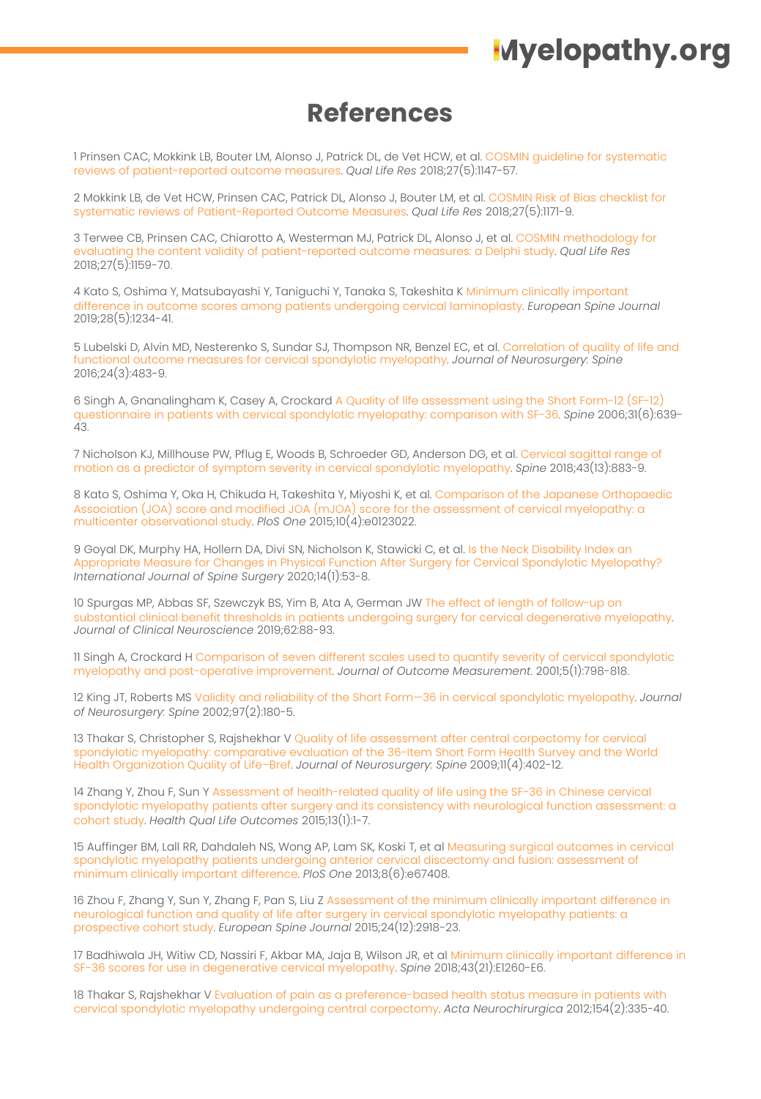## **Myelopathy.org**

## **References**

1 Prinsen CAC, Mokkink LB, Bouter LM, Alonso J, Patrick DL, de Vet HCW, et al. COSMIN guideline for systematic reviews of patient-reported outcome measures. *Qual Life Res* 2018;27(5):1147-57.

2 Mokkink LB, de Vet HCW, Prinsen CAC, Patrick DL, Alonso J, Bouter LM, et al. COSMIN Risk of Bias checklist for systematic reviews of Patient-Reported Outcome Measures. *Qual Life Res* 2018;27(5):1171-9.

3 Terwee CB, Prinsen CAC, Chiarotto A, Westerman MJ, Patrick DL, Alonso J, et al. COSMIN methodology for evaluating the content validity of patient-reported outcome measures: a Delphi study. *Qual Life Res*  2018;27(5):1159-70.

4 Kato S, Oshima Y, Matsubayashi Y, Taniguchi Y, Tanaka S, Takeshita K Minimum clinically important difference in outcome scores among patients undergoing cervical laminoplasty. *European Spine Journal*  2019;28(5):1234-41.

5 Lubelski D, Alvin MD, Nesterenko S, Sundar SJ, Thompson NR, Benzel EC, et al. Correlation of quality of life and functional outcome measures for cervical spondylotic myelopathy. *Journal of Neurosurgery: Spine* 2016;24(3):483-9.

6 Singh A, Gnanalingham K, Casey A, Crockard A Quality of life assessment using the Short Form-12 (SF-12) questionnaire in patients with cervical spondylotic myelopathy: comparison with SF-36. *Spine* 2006;31(6):639- 43.

7 Nicholson KJ, Millhouse PW, Pflug E, Woods B, Schroeder GD, Anderson DG, et al. Cervical sagittal range of motion as a predictor of symptom severity in cervical spondylotic myelopathy. *Spine* 2018;43(13):883-9.

8 Kato S, Oshima Y, Oka H, Chikuda H, Takeshita Y, Miyoshi K, et al. Comparison of the Japanese Orthopaedic Association (JOA) score and modified JOA (mJOA) score for the assessment of cervical myelopathy: a multicenter observational study. *PloS One* 2015;10(4):e0123022.

9 Goyal DK, Murphy HA, Hollern DA, Divi SN, Nicholson K, Stawicki C, et al. Is the Neck Disability Index an Appropriate Measure for Changes in Physical Function After Surgery for Cervical Spondylotic Myelopathy? *International Journal of Spine Surgery* 2020;14(1):53-8.

10 Spurgas MP, Abbas SF, Szewczyk BS, Yim B, Ata A, German JW The effect of length of follow-up on substantial clinical benefit thresholds in patients undergoing surgery for cervical degenerative myelopathy. *Journal of Clinical Neuroscience* 2019;62:88-93.

11 Singh A, Crockard H Comparison of seven different scales used to quantify severity of cervical spondylotic myelopathy and post-operative improvement. *Journal of Outcome Measurement*. 2001;5(1):798-818.

12 King JT, Roberts MS Validity and reliability of the Short Form—36 in cervical spondylotic myelopathy. *Journal of Neurosurgery: Spine* 2002;97(2):180-5.

13 Thakar S, Christopher S, Rajshekhar V Quality of life assessment after central corpectomy for cervical spondylotic myelopathy: comparative evaluation of the 36-Item Short Form Health Survey and the World Health Organization Quality of Life–Bref. *Journal of Neurosurgery: Spine* 2009;11(4):402-12.

14 Zhang Y, Zhou F, Sun Y Assessment of health-related quality of life using the SF-36 in Chinese cervical spondylotic myelopathy patients after surgery and its consistency with neurological function assessment: a cohort study. *Health Qual Life Outcomes* 2015;13(1):1-7.

15 Auffinger BM, Lall RR, Dahdaleh NS, Wong AP, Lam SK, Koski T, et al Measuring surgical outcomes in cervical spondylotic myelopathy patients undergoing anterior cervical discectomy and fusion: assessment of minimum clinically important difference. *PloS One* 2013;8(6):e67408.

16 Zhou F, Zhang Y, Sun Y, Zhang F, Pan S, Liu Z Assessment of the minimum clinically important difference in neurological function and quality of life after surgery in cervical spondylotic myelopathy patients: a prospective cohort study. *European Spine Journal* 2015;24(12):2918-23.

17 Badhiwala JH, Witiw CD, Nassiri F, Akbar MA, Jaja B, Wilson JR, et al Minimum clinically important difference in SF-36 scores for use in degenerative cervical myelopathy. *Spine* 2018;43(21):E1260-E6.

18 Thakar S, Rajshekhar V Evaluation of pain as a preference-based health status measure in patients with cervical spondylotic myelopathy undergoing central corpectomy. *Acta Neurochirurgica* 2012;154(2):335-40.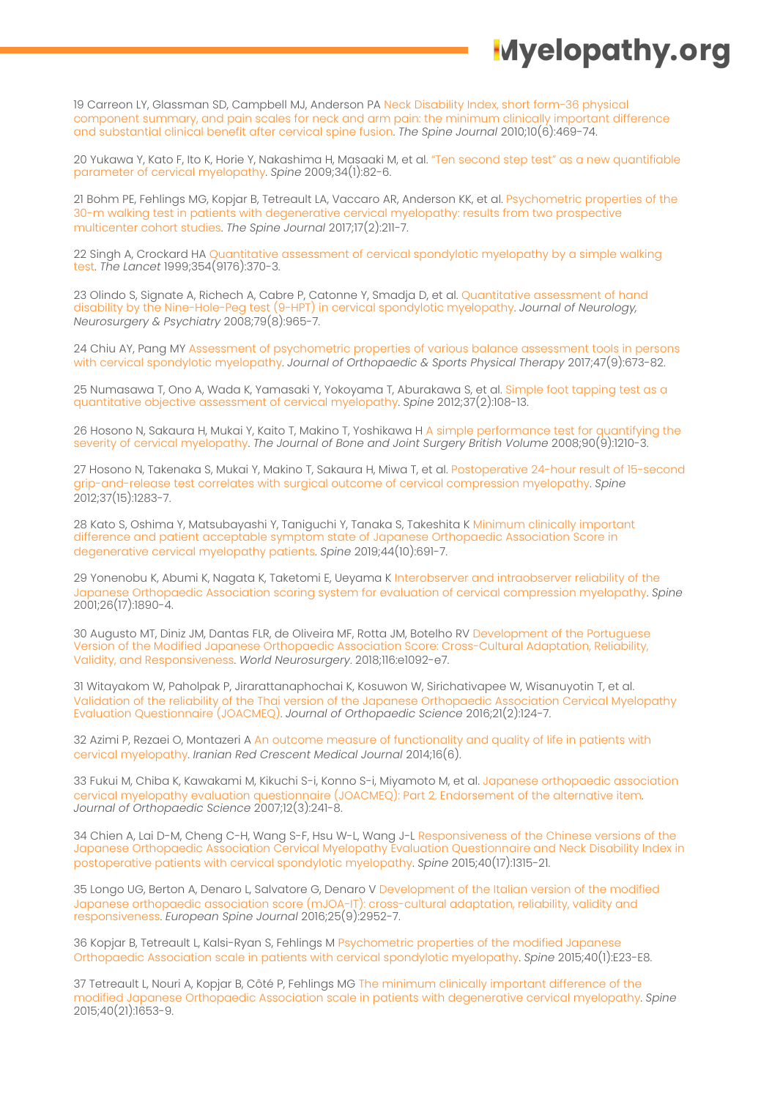## **Myelopathy.org**

19 Carreon LY, Glassman SD, Campbell MJ, Anderson PA Neck Disability Index, short form-36 physical component summary, and pain scales for neck and arm pain: the minimum clinically important difference and substantial clinical benefit after cervical spine fusion. *The Spine Journal* 2010;10(6):469-74.

20 Yukawa Y, Kato F, Ito K, Horie Y, Nakashima H, Masaaki M, et al. "Ten second step test" as a new quantifiable parameter of cervical myelopathy. *Spine* 2009;34(1):82-6.

21 Bohm PE, Fehlings MG, Kopjar B, Tetreault LA, Vaccaro AR, Anderson KK, et al. Psychometric properties of the 30-m walking test in patients with degenerative cervical myelopathy: results from two prospective multicenter cohort studies. *The Spine Journal* 2017;17(2):211-7.

22 Singh A, Crockard HA Quantitative assessment of cervical spondylotic myelopathy by a simple walking test. *The Lancet* 1999;354(9176):370-3.

23 Olindo S, Signate A, Richech A, Cabre P, Catonne Y, Smadja D, et al. Quantitative assessment of hand disability by the Nine-Hole-Peg test (9-HPT) in cervical spondylotic myelopathy. *Journal of Neurology, Neurosurgery & Psychiatry* 2008;79(8):965-7.

24 Chiu AY, Pang MY Assessment of psychometric properties of various balance assessment tools in persons with cervical spondylotic myelopathy. *Journal of Orthopaedic & Sports Physical Therapy* 2017;47(9):673-82.

25 Numasawa T, Ono A, Wada K, Yamasaki Y, Yokoyama T, Aburakawa S, et al. Simple foot tapping test as a quantitative objective assessment of cervical myelopathy. *Spine* 2012;37(2):108-13.

26 Hosono N, Sakaura H, Mukai Y, Kaito T, Makino T, Yoshikawa H A simple performance test for quantifying the severity of cervical myelopathy. *The Journal of Bone and Joint Surgery British Volume* 2008;90(9):1210-3.

27 Hosono N, Takenaka S, Mukai Y, Makino T, Sakaura H, Miwa T, et al. Postoperative 24-hour result of 15-second grip-and-release test correlates with surgical outcome of cervical compression myelopathy. *Spine* 2012;37(15):1283-7.

28 Kato S, Oshima Y, Matsubayashi Y, Taniguchi Y, Tanaka S, Takeshita K Minimum clinically important difference and patient acceptable symptom state of Japanese Orthopaedic Association Score in degenerative cervical myelopathy patients. *Spine* 2019;44(10):691-7.

29 Yonenobu K, Abumi K, Nagata K, Taketomi E, Ueyama K Interobserver and intraobserver reliability of the Japanese Orthopaedic Association scoring system for evaluation of cervical compression myelopathy. *Spine* 2001;26(17):1890-4.

30 Augusto MT, Diniz JM, Dantas FLR, de Oliveira MF, Rotta JM, Botelho RV Development of the Portuguese Version of the Modified Japanese Orthopaedic Association Score: Cross-Cultural Adaptation, Reliability, Validity, and Responsiveness. *World Neurosurgery*. 2018;116:e1092-e7.

31 Witayakom W, Paholpak P, Jirarattanaphochai K, Kosuwon W, Sirichativapee W, Wisanuyotin T, et al. Validation of the reliability of the Thai version of the Japanese Orthopaedic Association Cervical Myelopathy Evaluation Questionnaire (JOACMEQ). *Journal of Orthopaedic Science* 2016;21(2):124-7.

32 Azimi P, Rezaei O, Montazeri A An outcome measure of functionality and quality of life in patients with cervical myelopathy. *Iranian Red Crescent Medical Journal* 2014;16(6).

33 Fukui M, Chiba K, Kawakami M, Kikuchi S-i, Konno S-i, Miyamoto M, et al. Japanese orthopaedic association cervical myelopathy evaluation questionnaire (JOACMEQ): Part 2. Endorsement of the alternative item. *Journal of Orthopaedic Science* 2007;12(3):241-8.

34 Chien A, Lai D-M, Cheng C-H, Wang S-F, Hsu W-L, Wang J-L Responsiveness of the Chinese versions of the Japanese Orthopaedic Association Cervical Myelopathy Evaluation Questionnaire and Neck Disability Index in postoperative patients with cervical spondylotic myelopathy. *Spine* 2015;40(17):1315-21.

35 Longo UG, Berton A, Denaro L, Salvatore G, Denaro V Development of the Italian version of the modified Japanese orthopaedic association score (mJOA-IT): cross-cultural adaptation, reliability, validity and responsiveness. *European Spine Journal* 2016;25(9):2952-7.

36 Kopjar B, Tetreault L, Kalsi-Ryan S, Fehlings M Psychometric properties of the modified Japanese Orthopaedic Association scale in patients with cervical spondylotic myelopathy. *Spine* 2015;40(1):E23-E8.

37 Tetreault L, Nouri A, Kopjar B, Côté P, Fehlings MG The minimum clinically important difference of the modified Japanese Orthopaedic Association scale in patients with degenerative cervical myelopathy. *Spine* 2015;40(21):1653-9.